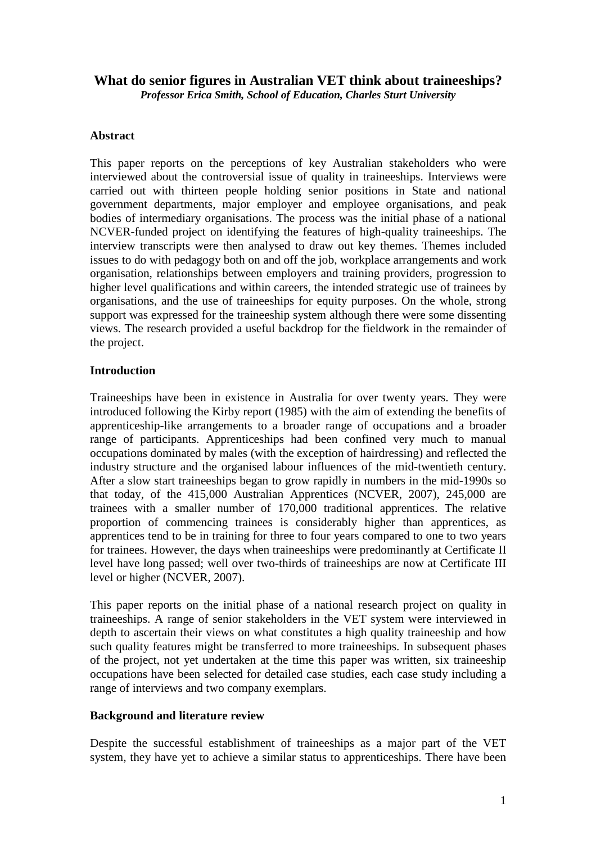# **What do senior figures in Australian VET think about traineeships?**

*Professor Erica Smith, School of Education, Charles Sturt University*

### **Abstract**

This paper reports on the perceptions of key Australian stakeholders who were interviewed about the controversial issue of quality in traineeships. Interviews were carried out with thirteen people holding senior positions in State and national government departments, major employer and employee organisations, and peak bodies of intermediary organisations. The process was the initial phase of a national NCVER-funded project on identifying the features of high-quality traineeships. The interview transcripts were then analysed to draw out key themes. Themes included issues to do with pedagogy both on and off the job, workplace arrangements and work organisation, relationships between employers and training providers, progression to higher level qualifications and within careers, the intended strategic use of trainees by organisations, and the use of traineeships for equity purposes. On the whole, strong support was expressed for the traineeship system although there were some dissenting views. The research provided a useful backdrop for the fieldwork in the remainder of the project.

### **Introduction**

Traineeships have been in existence in Australia for over twenty years. They were introduced following the Kirby report (1985) with the aim of extending the benefits of apprenticeship-like arrangements to a broader range of occupations and a broader range of participants. Apprenticeships had been confined very much to manual occupations dominated by males (with the exception of hairdressing) and reflected the industry structure and the organised labour influences of the mid-twentieth century. After a slow start traineeships began to grow rapidly in numbers in the mid-1990s so that today, of the 415,000 Australian Apprentices (NCVER, 2007), 245,000 are trainees with a smaller number of 170,000 traditional apprentices. The relative proportion of commencing trainees is considerably higher than apprentices, as apprentices tend to be in training for three to four years compared to one to two years for trainees. However, the days when traineeships were predominantly at Certificate II level have long passed; well over two-thirds of traineeships are now at Certificate III level or higher (NCVER, 2007).

This paper reports on the initial phase of a national research project on quality in traineeships. A range of senior stakeholders in the VET system were interviewed in depth to ascertain their views on what constitutes a high quality traineeship and how such quality features might be transferred to more traineeships. In subsequent phases of the project, not yet undertaken at the time this paper was written, six traineeship occupations have been selected for detailed case studies, each case study including a range of interviews and two company exemplars.

# **Background and literature review**

Despite the successful establishment of traineeships as a major part of the VET system, they have yet to achieve a similar status to apprenticeships. There have been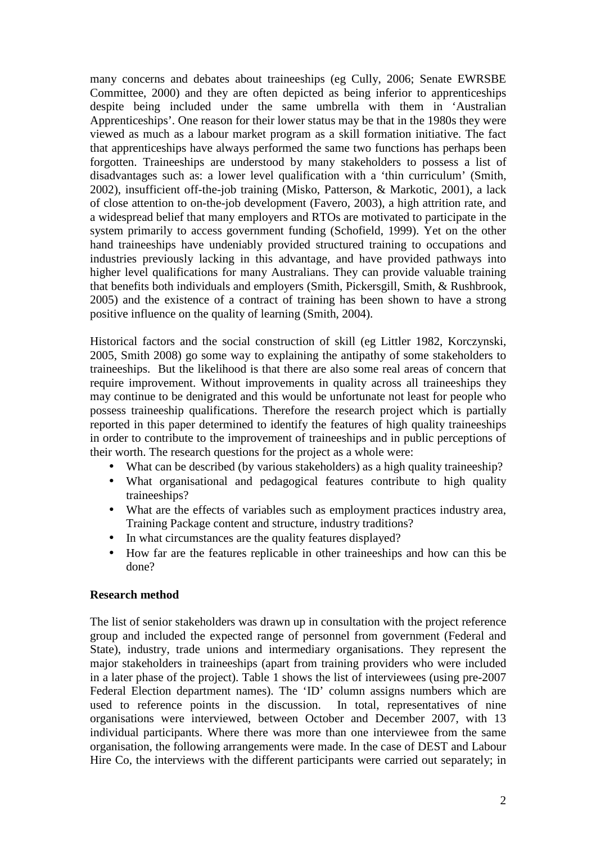many concerns and debates about traineeships (eg Cully, 2006; Senate EWRSBE Committee, 2000) and they are often depicted as being inferior to apprenticeships despite being included under the same umbrella with them in 'Australian Apprenticeships'. One reason for their lower status may be that in the 1980s they were viewed as much as a labour market program as a skill formation initiative. The fact that apprenticeships have always performed the same two functions has perhaps been forgotten. Traineeships are understood by many stakeholders to possess a list of disadvantages such as: a lower level qualification with a 'thin curriculum' (Smith, 2002), insufficient off-the-job training (Misko, Patterson, & Markotic, 2001), a lack of close attention to on-the-job development (Favero, 2003), a high attrition rate, and a widespread belief that many employers and RTOs are motivated to participate in the system primarily to access government funding (Schofield, 1999). Yet on the other hand traineeships have undeniably provided structured training to occupations and industries previously lacking in this advantage, and have provided pathways into higher level qualifications for many Australians. They can provide valuable training that benefits both individuals and employers (Smith, Pickersgill, Smith, & Rushbrook*,* 2005) and the existence of a contract of training has been shown to have a strong positive influence on the quality of learning (Smith, 2004).

Historical factors and the social construction of skill (eg Littler 1982, Korczynski, 2005, Smith 2008) go some way to explaining the antipathy of some stakeholders to traineeships. But the likelihood is that there are also some real areas of concern that require improvement. Without improvements in quality across all traineeships they may continue to be denigrated and this would be unfortunate not least for people who possess traineeship qualifications. Therefore the research project which is partially reported in this paper determined to identify the features of high quality traineeships in order to contribute to the improvement of traineeships and in public perceptions of their worth. The research questions for the project as a whole were:

- What can be described (by various stakeholders) as a high quality traineeship?
- What organisational and pedagogical features contribute to high quality traineeships?
- What are the effects of variables such as employment practices industry area, Training Package content and structure, industry traditions?
- In what circumstances are the quality features displayed?
- How far are the features replicable in other traineeships and how can this be done?

### **Research method**

The list of senior stakeholders was drawn up in consultation with the project reference group and included the expected range of personnel from government (Federal and State), industry, trade unions and intermediary organisations. They represent the major stakeholders in traineeships (apart from training providers who were included in a later phase of the project). Table 1 shows the list of interviewees (using pre-2007 Federal Election department names). The 'ID' column assigns numbers which are used to reference points in the discussion. In total, representatives of nine organisations were interviewed, between October and December 2007, with 13 individual participants. Where there was more than one interviewee from the same organisation, the following arrangements were made. In the case of DEST and Labour Hire Co, the interviews with the different participants were carried out separately; in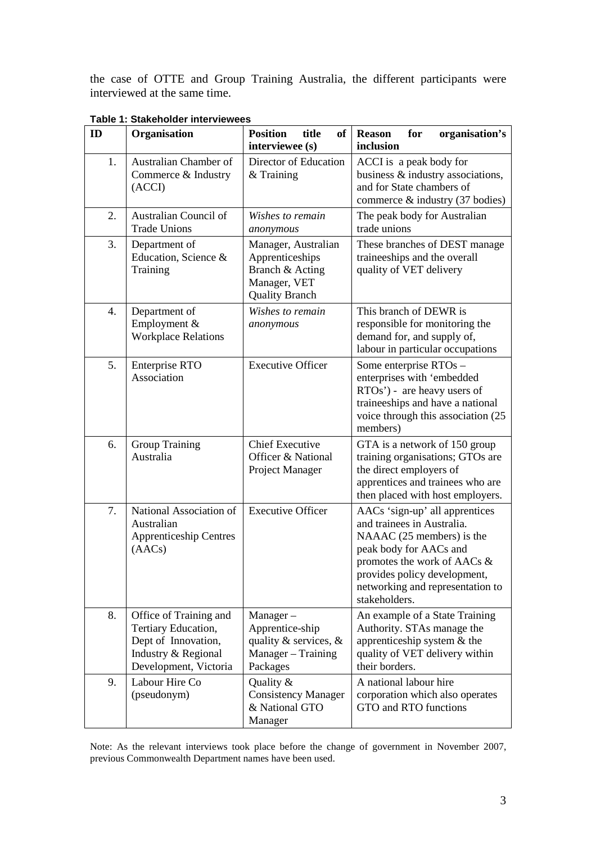the case of OTTE and Group Training Australia, the different participants were interviewed at the same time.

| ID | Organisation                                                                                                         | <b>Position</b><br>title<br><b>of</b><br>interviewee (s)                                           | organisation's<br><b>Reason</b><br>for<br>inclusion                                                                                                                                                                                     |  |
|----|----------------------------------------------------------------------------------------------------------------------|----------------------------------------------------------------------------------------------------|-----------------------------------------------------------------------------------------------------------------------------------------------------------------------------------------------------------------------------------------|--|
| 1. | Australian Chamber of<br>Commerce & Industry<br>(ACCI)                                                               | Director of Education<br>& Training                                                                | ACCI is a peak body for<br>business & industry associations,<br>and for State chambers of<br>commerce $\&$ industry (37 bodies)                                                                                                         |  |
| 2. | Australian Council of<br><b>Trade Unions</b>                                                                         | Wishes to remain<br>anonymous                                                                      | The peak body for Australian<br>trade unions                                                                                                                                                                                            |  |
| 3. | Department of<br>Education, Science &<br>Training                                                                    | Manager, Australian<br>Apprenticeships<br>Branch & Acting<br>Manager, VET<br><b>Quality Branch</b> | These branches of DEST manage<br>traineeships and the overall<br>quality of VET delivery                                                                                                                                                |  |
| 4. | Department of<br>Employment &<br><b>Workplace Relations</b>                                                          | Wishes to remain<br>anonymous                                                                      | This branch of DEWR is<br>responsible for monitoring the<br>demand for, and supply of,<br>labour in particular occupations                                                                                                              |  |
| 5. | <b>Enterprise RTO</b><br>Association                                                                                 | <b>Executive Officer</b>                                                                           | Some enterprise RTOs -<br>enterprises with 'embedded<br>RTOs') - are heavy users of<br>traineeships and have a national<br>voice through this association (25)<br>members)                                                              |  |
| 6. | <b>Group Training</b><br>Australia                                                                                   | <b>Chief Executive</b><br>Officer & National<br>Project Manager                                    | GTA is a network of 150 group<br>training organisations; GTOs are<br>the direct employers of<br>apprentices and trainees who are<br>then placed with host employers.                                                                    |  |
| 7. | National Association of<br>Australian<br><b>Apprenticeship Centres</b><br>(AACs)                                     | <b>Executive Officer</b>                                                                           | AACs 'sign-up' all apprentices<br>and trainees in Australia.<br>NAAAC (25 members) is the<br>peak body for AACs and<br>promotes the work of AACs &<br>provides policy development,<br>networking and representation to<br>stakeholders. |  |
| 8. | Office of Training and<br>Tertiary Education,<br>Dept of Innovation,<br>Industry & Regional<br>Development, Victoria | $Manager -$<br>Apprentice-ship<br>quality & services, $\&$<br>Manager - Training<br>Packages       | An example of a State Training<br>Authority. STAs manage the<br>apprenticeship system $&$ the<br>quality of VET delivery within<br>their borders.                                                                                       |  |
| 9. | Labour Hire Co<br>(pseudonym)                                                                                        | Quality &<br><b>Consistency Manager</b><br>& National GTO<br>Manager                               | A national labour hire<br>corporation which also operates<br>GTO and RTO functions                                                                                                                                                      |  |

**Table 1: Stakeholder interviewees** 

Note: As the relevant interviews took place before the change of government in November 2007, previous Commonwealth Department names have been used.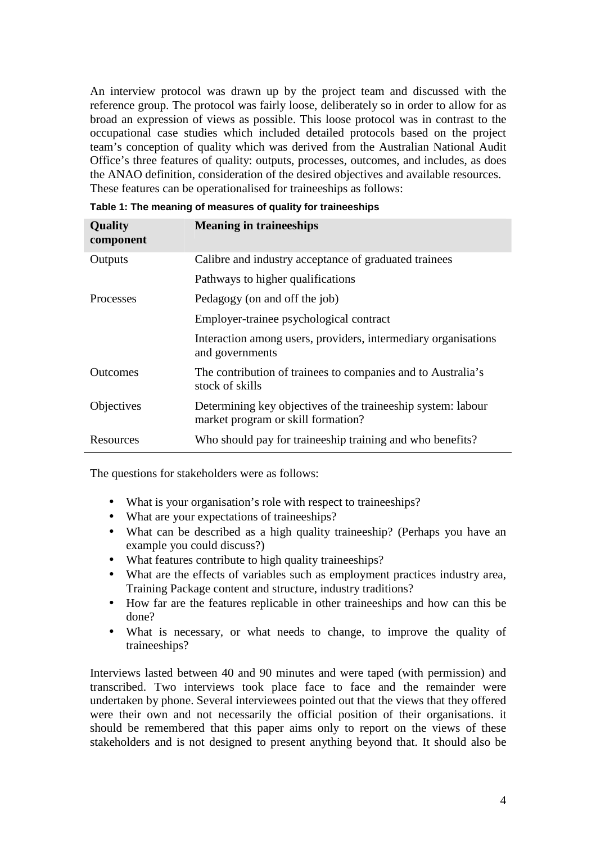An interview protocol was drawn up by the project team and discussed with the reference group. The protocol was fairly loose, deliberately so in order to allow for as broad an expression of views as possible. This loose protocol was in contrast to the occupational case studies which included detailed protocols based on the project team's conception of quality which was derived from the Australian National Audit Office's three features of quality: outputs, processes, outcomes, and includes, as does the ANAO definition, consideration of the desired objectives and available resources. These features can be operationalised for traineeships as follows:

| <b>Quality</b><br>component | <b>Meaning in traineeships</b>                                                                     |
|-----------------------------|----------------------------------------------------------------------------------------------------|
| Outputs                     | Calibre and industry acceptance of graduated trainees                                              |
|                             | Pathways to higher qualifications                                                                  |
| <b>Processes</b>            | Pedagogy (on and off the job)                                                                      |
|                             | Employer-trainee psychological contract                                                            |
|                             | Interaction among users, providers, intermediary organisations<br>and governments                  |
| <b>Outcomes</b>             | The contribution of trainees to companies and to Australia's<br>stock of skills                    |
| Objectives                  | Determining key objectives of the traineeship system: labour<br>market program or skill formation? |
| Resources                   | Who should pay for traineeship training and who benefits?                                          |

| Table 1: The meaning of measures of quality for traineeships |  |  |  |  |  |  |  |
|--------------------------------------------------------------|--|--|--|--|--|--|--|
|--------------------------------------------------------------|--|--|--|--|--|--|--|

The questions for stakeholders were as follows:

- What is your organisation's role with respect to traineeships?
- What are your expectations of traineeships?
- What can be described as a high quality traineeship? (Perhaps you have an example you could discuss?)
- What features contribute to high quality traineeships?
- What are the effects of variables such as employment practices industry area, Training Package content and structure, industry traditions?
- How far are the features replicable in other traineeships and how can this be done?
- What is necessary, or what needs to change, to improve the quality of traineeships?

Interviews lasted between 40 and 90 minutes and were taped (with permission) and transcribed. Two interviews took place face to face and the remainder were undertaken by phone. Several interviewees pointed out that the views that they offered were their own and not necessarily the official position of their organisations. it should be remembered that this paper aims only to report on the views of these stakeholders and is not designed to present anything beyond that. It should also be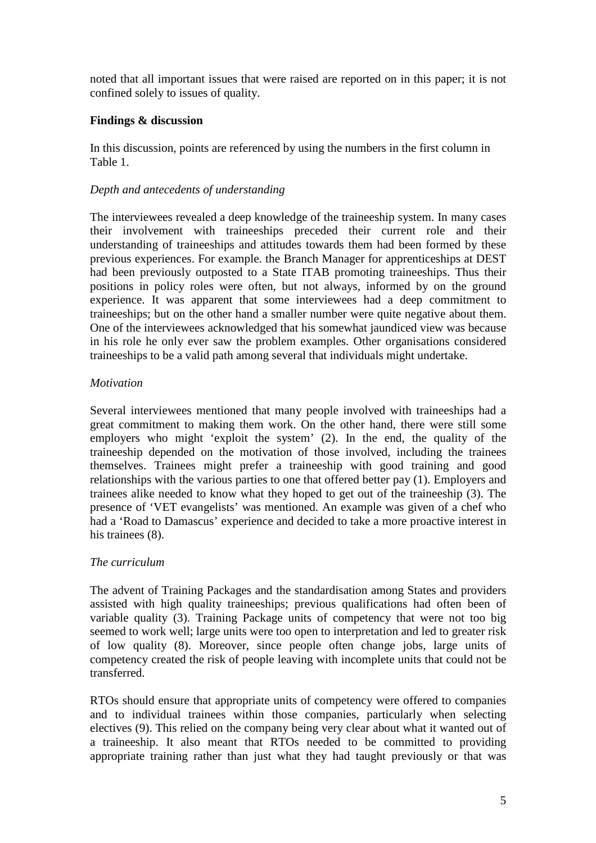noted that all important issues that were raised are reported on in this paper; it is not confined solely to issues of quality.

## **Findings & discussion**

In this discussion, points are referenced by using the numbers in the first column in Table 1.

## *Depth and antecedents of understanding*

The interviewees revealed a deep knowledge of the traineeship system. In many cases their involvement with traineeships preceded their current role and their understanding of traineeships and attitudes towards them had been formed by these previous experiences. For example. the Branch Manager for apprenticeships at DEST had been previously outposted to a State ITAB promoting traineeships. Thus their positions in policy roles were often, but not always, informed by on the ground experience. It was apparent that some interviewees had a deep commitment to traineeships; but on the other hand a smaller number were quite negative about them. One of the interviewees acknowledged that his somewhat jaundiced view was because in his role he only ever saw the problem examples. Other organisations considered traineeships to be a valid path among several that individuals might undertake.

### *Motivation*

Several interviewees mentioned that many people involved with traineeships had a great commitment to making them work. On the other hand, there were still some employers who might 'exploit the system' (2). In the end, the quality of the traineeship depended on the motivation of those involved, including the trainees themselves. Trainees might prefer a traineeship with good training and good relationships with the various parties to one that offered better pay (1). Employers and trainees alike needed to know what they hoped to get out of the traineeship (3). The presence of 'VET evangelists' was mentioned. An example was given of a chef who had a 'Road to Damascus' experience and decided to take a more proactive interest in his trainees  $(8)$ .

### *The curriculum*

The advent of Training Packages and the standardisation among States and providers assisted with high quality traineeships; previous qualifications had often been of variable quality (3). Training Package units of competency that were not too big seemed to work well; large units were too open to interpretation and led to greater risk of low quality (8). Moreover, since people often change jobs, large units of competency created the risk of people leaving with incomplete units that could not be transferred.

RTOs should ensure that appropriate units of competency were offered to companies and to individual trainees within those companies, particularly when selecting electives (9). This relied on the company being very clear about what it wanted out of a traineeship. It also meant that RTOs needed to be committed to providing appropriate training rather than just what they had taught previously or that was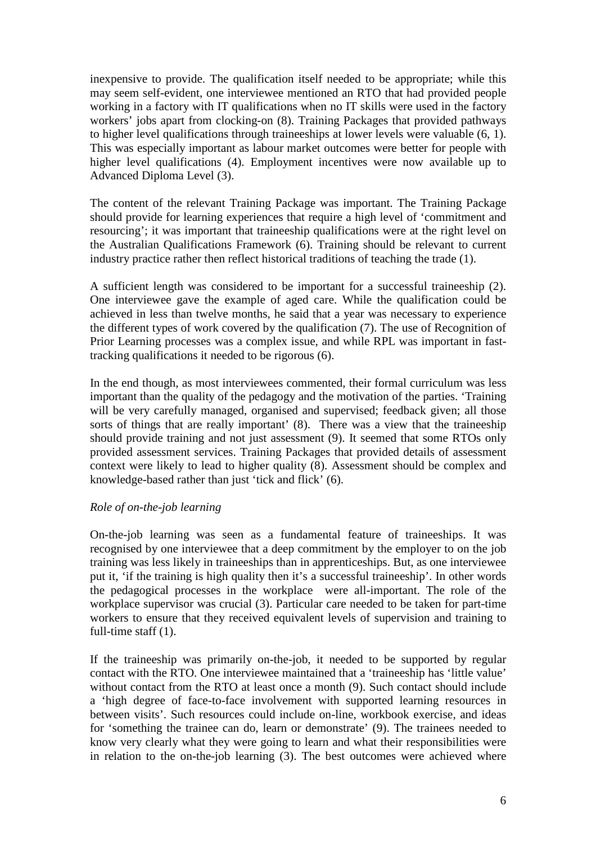inexpensive to provide. The qualification itself needed to be appropriate; while this may seem self-evident, one interviewee mentioned an RTO that had provided people working in a factory with IT qualifications when no IT skills were used in the factory workers' jobs apart from clocking-on (8). Training Packages that provided pathways to higher level qualifications through traineeships at lower levels were valuable (6, 1). This was especially important as labour market outcomes were better for people with higher level qualifications (4). Employment incentives were now available up to Advanced Diploma Level (3).

The content of the relevant Training Package was important. The Training Package should provide for learning experiences that require a high level of 'commitment and resourcing'; it was important that traineeship qualifications were at the right level on the Australian Qualifications Framework (6). Training should be relevant to current industry practice rather then reflect historical traditions of teaching the trade (1).

A sufficient length was considered to be important for a successful traineeship (2). One interviewee gave the example of aged care. While the qualification could be achieved in less than twelve months, he said that a year was necessary to experience the different types of work covered by the qualification (7). The use of Recognition of Prior Learning processes was a complex issue, and while RPL was important in fasttracking qualifications it needed to be rigorous (6).

In the end though, as most interviewees commented, their formal curriculum was less important than the quality of the pedagogy and the motivation of the parties. 'Training will be very carefully managed, organised and supervised; feedback given; all those sorts of things that are really important' (8). There was a view that the traineeship should provide training and not just assessment (9). It seemed that some RTOs only provided assessment services. Training Packages that provided details of assessment context were likely to lead to higher quality (8). Assessment should be complex and knowledge-based rather than just 'tick and flick' (6).

### *Role of on-the-job learning*

On-the-job learning was seen as a fundamental feature of traineeships. It was recognised by one interviewee that a deep commitment by the employer to on the job training was less likely in traineeships than in apprenticeships. But, as one interviewee put it, 'if the training is high quality then it's a successful traineeship'. In other words the pedagogical processes in the workplace were all-important. The role of the workplace supervisor was crucial (3). Particular care needed to be taken for part-time workers to ensure that they received equivalent levels of supervision and training to full-time staff (1).

If the traineeship was primarily on-the-job, it needed to be supported by regular contact with the RTO. One interviewee maintained that a 'traineeship has 'little value' without contact from the RTO at least once a month (9). Such contact should include a 'high degree of face-to-face involvement with supported learning resources in between visits'. Such resources could include on-line, workbook exercise, and ideas for 'something the trainee can do, learn or demonstrate' (9). The trainees needed to know very clearly what they were going to learn and what their responsibilities were in relation to the on-the-job learning (3). The best outcomes were achieved where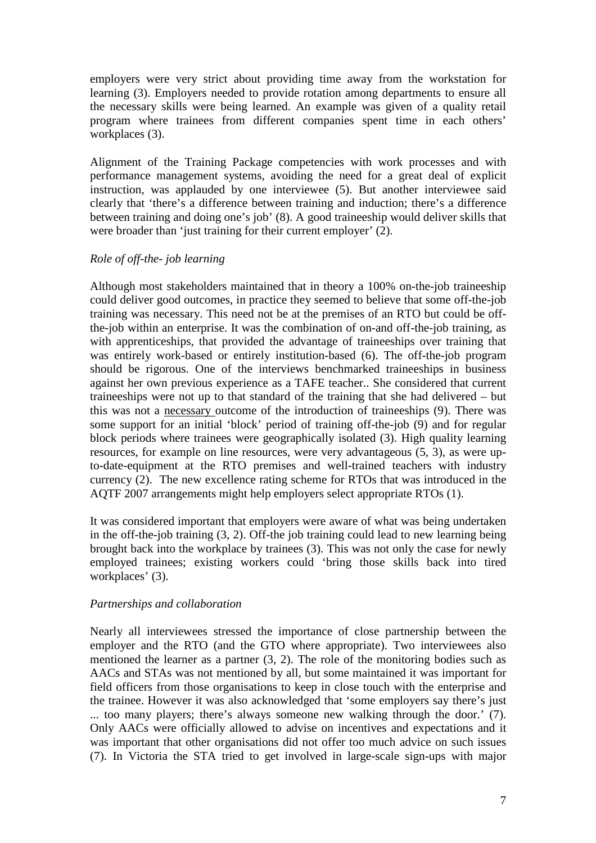employers were very strict about providing time away from the workstation for learning (3). Employers needed to provide rotation among departments to ensure all the necessary skills were being learned. An example was given of a quality retail program where trainees from different companies spent time in each others' workplaces (3).

Alignment of the Training Package competencies with work processes and with performance management systems, avoiding the need for a great deal of explicit instruction, was applauded by one interviewee (5). But another interviewee said clearly that 'there's a difference between training and induction; there's a difference between training and doing one's job' (8). A good traineeship would deliver skills that were broader than 'just training for their current employer' (2).

### *Role of off-the- job learning*

Although most stakeholders maintained that in theory a 100% on-the-job traineeship could deliver good outcomes, in practice they seemed to believe that some off-the-job training was necessary. This need not be at the premises of an RTO but could be offthe-job within an enterprise. It was the combination of on-and off-the-job training, as with apprenticeships, that provided the advantage of traineeships over training that was entirely work-based or entirely institution-based (6). The off-the-job program should be rigorous. One of the interviews benchmarked traineeships in business against her own previous experience as a TAFE teacher.. She considered that current traineeships were not up to that standard of the training that she had delivered – but this was not a necessary outcome of the introduction of traineeships (9). There was some support for an initial 'block' period of training off-the-job (9) and for regular block periods where trainees were geographically isolated (3). High quality learning resources, for example on line resources, were very advantageous (5, 3), as were upto-date-equipment at the RTO premises and well-trained teachers with industry currency (2). The new excellence rating scheme for RTOs that was introduced in the AQTF 2007 arrangements might help employers select appropriate RTOs (1).

It was considered important that employers were aware of what was being undertaken in the off-the-job training (3, 2). Off-the job training could lead to new learning being brought back into the workplace by trainees (3). This was not only the case for newly employed trainees; existing workers could 'bring those skills back into tired workplaces' (3).

# *Partnerships and collaboration*

Nearly all interviewees stressed the importance of close partnership between the employer and the RTO (and the GTO where appropriate). Two interviewees also mentioned the learner as a partner (3, 2). The role of the monitoring bodies such as AACs and STAs was not mentioned by all, but some maintained it was important for field officers from those organisations to keep in close touch with the enterprise and the trainee. However it was also acknowledged that 'some employers say there's just ... too many players; there's always someone new walking through the door.' (7). Only AACs were officially allowed to advise on incentives and expectations and it was important that other organisations did not offer too much advice on such issues (7). In Victoria the STA tried to get involved in large-scale sign-ups with major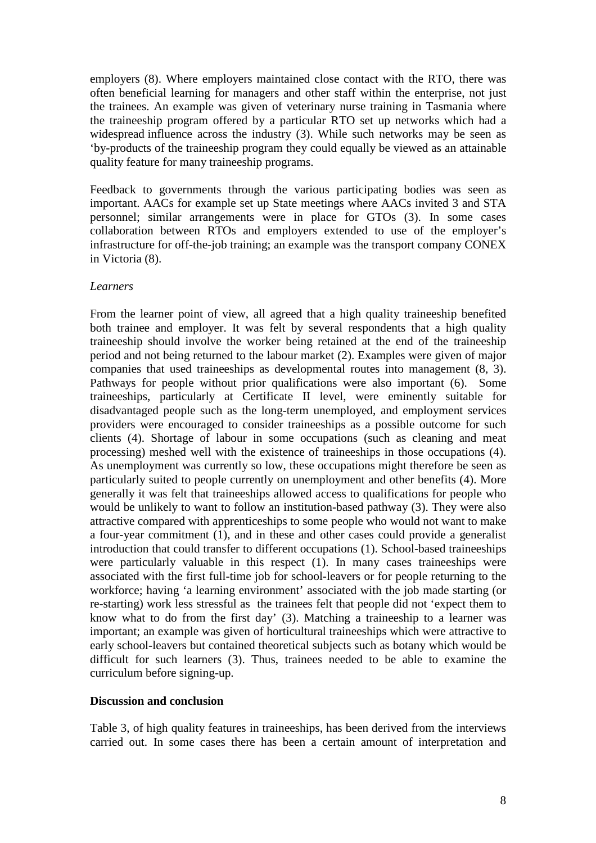employers (8). Where employers maintained close contact with the RTO, there was often beneficial learning for managers and other staff within the enterprise, not just the trainees. An example was given of veterinary nurse training in Tasmania where the traineeship program offered by a particular RTO set up networks which had a widespread influence across the industry (3). While such networks may be seen as 'by-products of the traineeship program they could equally be viewed as an attainable quality feature for many traineeship programs.

Feedback to governments through the various participating bodies was seen as important. AACs for example set up State meetings where AACs invited 3 and STA personnel; similar arrangements were in place for GTOs (3). In some cases collaboration between RTOs and employers extended to use of the employer's infrastructure for off-the-job training; an example was the transport company CONEX in Victoria (8).

#### *Learners*

From the learner point of view, all agreed that a high quality traineeship benefited both trainee and employer. It was felt by several respondents that a high quality traineeship should involve the worker being retained at the end of the traineeship period and not being returned to the labour market (2). Examples were given of major companies that used traineeships as developmental routes into management (8, 3). Pathways for people without prior qualifications were also important (6). Some traineeships, particularly at Certificate II level, were eminently suitable for disadvantaged people such as the long-term unemployed, and employment services providers were encouraged to consider traineeships as a possible outcome for such clients (4). Shortage of labour in some occupations (such as cleaning and meat processing) meshed well with the existence of traineeships in those occupations (4). As unemployment was currently so low, these occupations might therefore be seen as particularly suited to people currently on unemployment and other benefits (4). More generally it was felt that traineeships allowed access to qualifications for people who would be unlikely to want to follow an institution-based pathway (3). They were also attractive compared with apprenticeships to some people who would not want to make a four-year commitment (1), and in these and other cases could provide a generalist introduction that could transfer to different occupations (1). School-based traineeships were particularly valuable in this respect (1). In many cases traineeships were associated with the first full-time job for school-leavers or for people returning to the workforce; having 'a learning environment' associated with the job made starting (or re-starting) work less stressful as the trainees felt that people did not 'expect them to know what to do from the first day' (3). Matching a traineeship to a learner was important; an example was given of horticultural traineeships which were attractive to early school-leavers but contained theoretical subjects such as botany which would be difficult for such learners (3). Thus, trainees needed to be able to examine the curriculum before signing-up.

#### **Discussion and conclusion**

Table 3, of high quality features in traineeships, has been derived from the interviews carried out. In some cases there has been a certain amount of interpretation and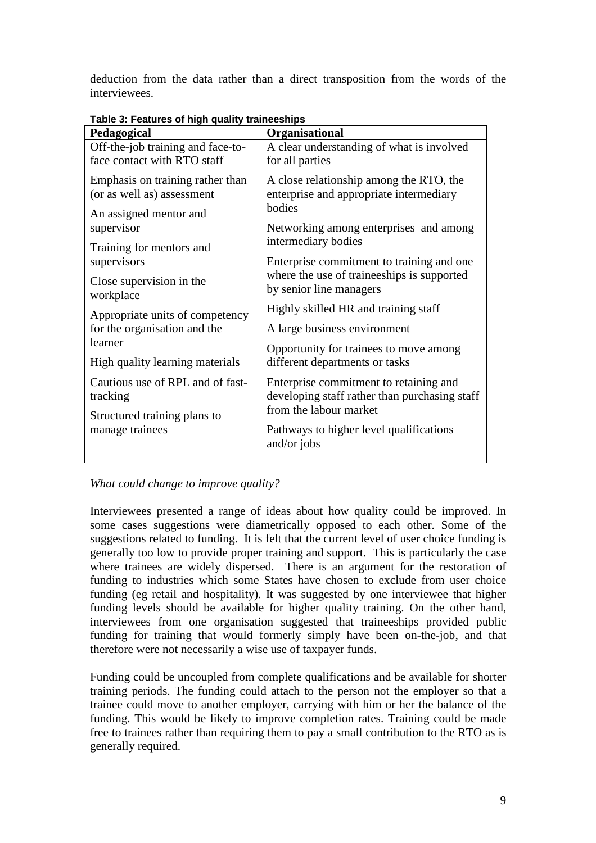deduction from the data rather than a direct transposition from the words of the interviewees.

| Pedagogical                       | . apic 0. 1 catalog 01 mgn quanty tramceompo<br>Organisational                                                     |  |  |
|-----------------------------------|--------------------------------------------------------------------------------------------------------------------|--|--|
| Off-the-job training and face-to- | A clear understanding of what is involved                                                                          |  |  |
| face contact with RTO staff       | for all parties                                                                                                    |  |  |
| Emphasis on training rather than  | A close relationship among the RTO, the                                                                            |  |  |
| (or as well as) assessment        | enterprise and appropriate intermediary                                                                            |  |  |
| An assigned mentor and            | bodies                                                                                                             |  |  |
| supervisor                        | Networking among enterprises and among                                                                             |  |  |
| Training for mentors and          | intermediary bodies                                                                                                |  |  |
| supervisors                       | Enterprise commitment to training and one<br>where the use of traineeships is supported<br>by senior line managers |  |  |
| Close supervision in the          |                                                                                                                    |  |  |
| workplace                         |                                                                                                                    |  |  |
| Appropriate units of competency   | Highly skilled HR and training staff                                                                               |  |  |
| for the organisation and the      | A large business environment                                                                                       |  |  |
| learner                           | Opportunity for trainees to move among<br>different departments or tasks                                           |  |  |
| High quality learning materials   |                                                                                                                    |  |  |
| Cautious use of RPL and of fast-  | Enterprise commitment to retaining and                                                                             |  |  |
| tracking                          | developing staff rather than purchasing staff                                                                      |  |  |
| Structured training plans to      | from the labour market                                                                                             |  |  |
| manage trainees                   | Pathways to higher level qualifications                                                                            |  |  |
|                                   | and/or jobs                                                                                                        |  |  |
|                                   |                                                                                                                    |  |  |

**Table 3: Features of high quality traineeships** 

*What could change to improve quality?* 

Interviewees presented a range of ideas about how quality could be improved. In some cases suggestions were diametrically opposed to each other. Some of the suggestions related to funding.It is felt that the current level of user choice funding is generally too low to provide proper training and support. This is particularly the case where trainees are widely dispersed. There is an argument for the restoration of funding to industries which some States have chosen to exclude from user choice funding (eg retail and hospitality). It was suggested by one interviewee that higher funding levels should be available for higher quality training. On the other hand, interviewees from one organisation suggested that traineeships provided public funding for training that would formerly simply have been on-the-job, and that therefore were not necessarily a wise use of taxpayer funds.

Funding could be uncoupled from complete qualifications and be available for shorter training periods. The funding could attach to the person not the employer so that a trainee could move to another employer, carrying with him or her the balance of the funding. This would be likely to improve completion rates. Training could be made free to trainees rather than requiring them to pay a small contribution to the RTO as is generally required.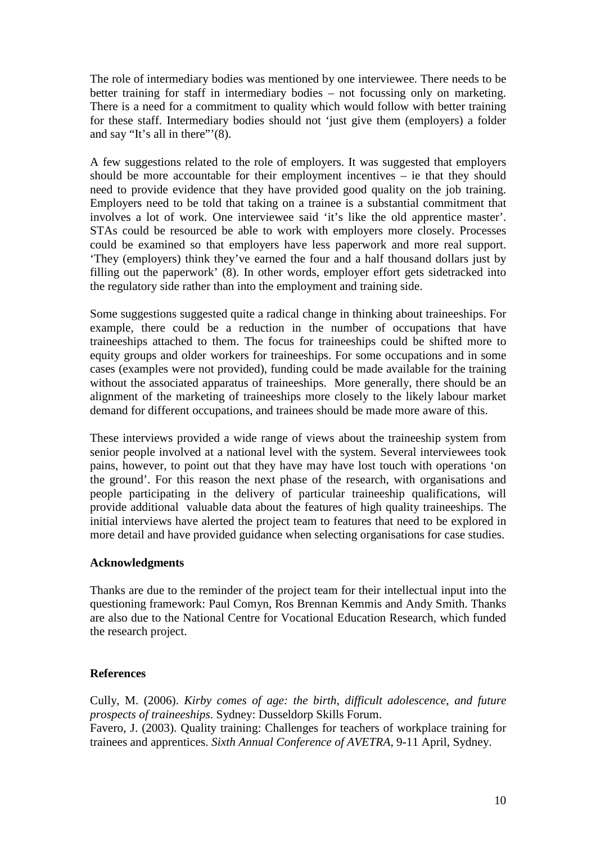The role of intermediary bodies was mentioned by one interviewee. There needs to be better training for staff in intermediary bodies – not focussing only on marketing. There is a need for a commitment to quality which would follow with better training for these staff. Intermediary bodies should not 'just give them (employers) a folder and say "It's all in there"'(8).

A few suggestions related to the role of employers. It was suggested that employers should be more accountable for their employment incentives – ie that they should need to provide evidence that they have provided good quality on the job training. Employers need to be told that taking on a trainee is a substantial commitment that involves a lot of work. One interviewee said 'it's like the old apprentice master'. STAs could be resourced be able to work with employers more closely. Processes could be examined so that employers have less paperwork and more real support. 'They (employers) think they've earned the four and a half thousand dollars just by filling out the paperwork' (8). In other words, employer effort gets sidetracked into the regulatory side rather than into the employment and training side.

Some suggestions suggested quite a radical change in thinking about traineeships. For example, there could be a reduction in the number of occupations that have traineeships attached to them. The focus for traineeships could be shifted more to equity groups and older workers for traineeships. For some occupations and in some cases (examples were not provided), funding could be made available for the training without the associated apparatus of traineeships. More generally, there should be an alignment of the marketing of traineeships more closely to the likely labour market demand for different occupations, and trainees should be made more aware of this.

These interviews provided a wide range of views about the traineeship system from senior people involved at a national level with the system. Several interviewees took pains, however, to point out that they have may have lost touch with operations 'on the ground'. For this reason the next phase of the research, with organisations and people participating in the delivery of particular traineeship qualifications, will provide additional valuable data about the features of high quality traineeships. The initial interviews have alerted the project team to features that need to be explored in more detail and have provided guidance when selecting organisations for case studies.

### **Acknowledgments**

Thanks are due to the reminder of the project team for their intellectual input into the questioning framework: Paul Comyn, Ros Brennan Kemmis and Andy Smith. Thanks are also due to the National Centre for Vocational Education Research, which funded the research project.

# **References**

Cully, M. (2006). *Kirby comes of age: the birth, difficult adolescence, and future prospects of traineeships*. Sydney: Dusseldorp Skills Forum. Favero, J. (2003). Quality training: Challenges for teachers of workplace training for trainees and apprentices. *Sixth Annual Conference of AVETRA,* 9-11 April, Sydney.